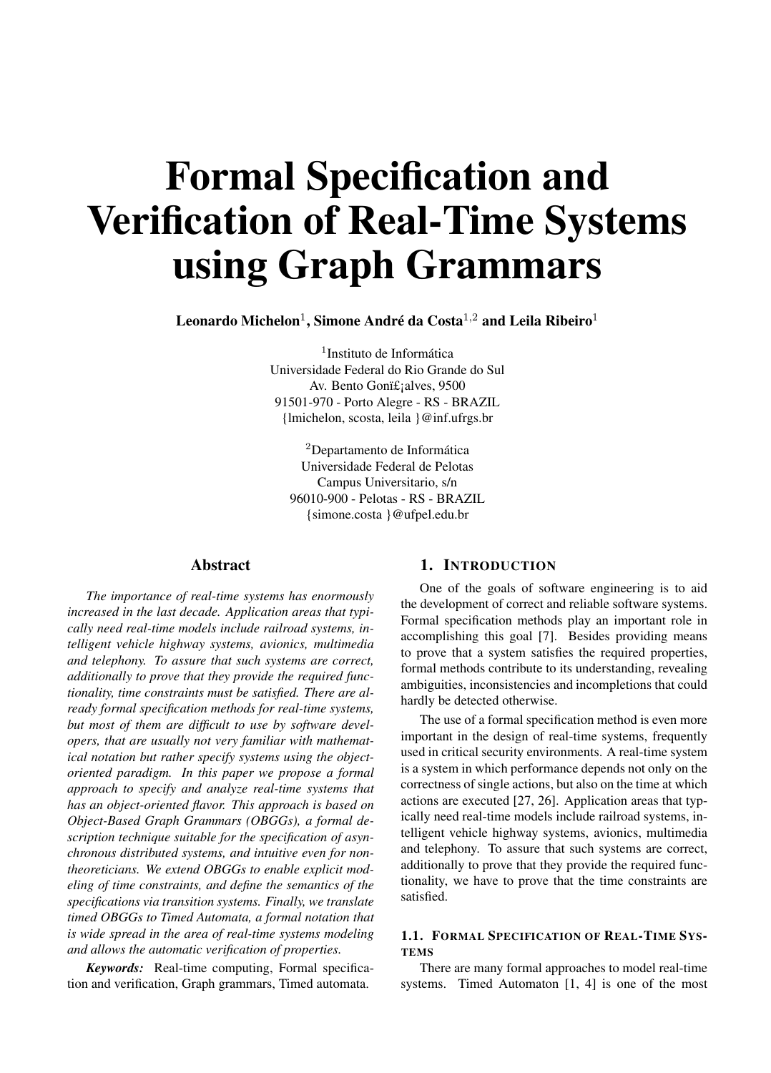# Formal Specification and Verification of Real-Time Systems using Graph Grammars

Leonardo Michelon<sup>1</sup>, Simone André da Costa<sup>1,2</sup> and Leila Ribeiro<sup>1</sup>

<sup>1</sup>Instituto de Informática Universidade Federal do Rio Grande do Sul Av. Bento Gonï£<sub>i</sub>alves, 9500 91501-970 - Porto Alegre - RS - BRAZIL {lmichelon, scosta, leila }@inf.ufrgs.br

<sup>2</sup>Departamento de Informática Universidade Federal de Pelotas Campus Universitario, s/n 96010-900 - Pelotas - RS - BRAZIL {simone.costa }@ufpel.edu.br

#### Abstract

*The importance of real-time systems has enormously increased in the last decade. Application areas that typically need real-time models include railroad systems, intelligent vehicle highway systems, avionics, multimedia and telephony. To assure that such systems are correct, additionally to prove that they provide the required functionality, time constraints must be satisfied. There are already formal specification methods for real-time systems, but most of them are difficult to use by software developers, that are usually not very familiar with mathematical notation but rather specify systems using the objectoriented paradigm. In this paper we propose a formal approach to specify and analyze real-time systems that has an object-oriented flavor. This approach is based on Object-Based Graph Grammars (OBGGs), a formal description technique suitable for the specification of asynchronous distributed systems, and intuitive even for nontheoreticians. We extend OBGGs to enable explicit modeling of time constraints, and define the semantics of the specifications via transition systems. Finally, we translate timed OBGGs to Timed Automata, a formal notation that is wide spread in the area of real-time systems modeling and allows the automatic verification of properties.*

*Keywords:* Real-time computing, Formal specification and verification, Graph grammars, Timed automata.

## 1. INTRODUCTION

One of the goals of software engineering is to aid the development of correct and reliable software systems. Formal specification methods play an important role in accomplishing this goal [7]. Besides providing means to prove that a system satisfies the required properties, formal methods contribute to its understanding, revealing ambiguities, inconsistencies and incompletions that could hardly be detected otherwise.

The use of a formal specification method is even more important in the design of real-time systems, frequently used in critical security environments. A real-time system is a system in which performance depends not only on the correctness of single actions, but also on the time at which actions are executed [27, 26]. Application areas that typically need real-time models include railroad systems, intelligent vehicle highway systems, avionics, multimedia and telephony. To assure that such systems are correct, additionally to prove that they provide the required functionality, we have to prove that the time constraints are satisfied.

### 1.1. FORMAL SPECIFICATION OF REAL-TIME SYS-**TEMS**

There are many formal approaches to model real-time systems. Timed Automaton [1, 4] is one of the most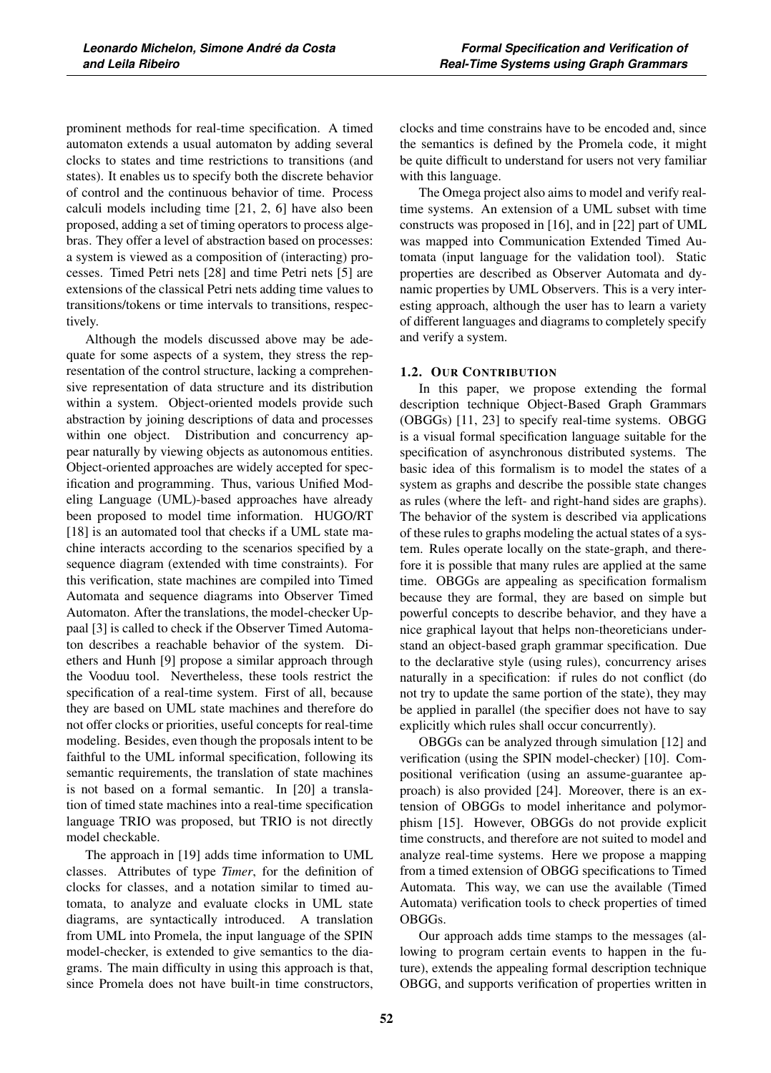prominent methods for real-time specification. A timed automaton extends a usual automaton by adding several clocks to states and time restrictions to transitions (and states). It enables us to specify both the discrete behavior of control and the continuous behavior of time. Process calculi models including time [21, 2, 6] have also been proposed, adding a set of timing operators to process algebras. They offer a level of abstraction based on processes: a system is viewed as a composition of (interacting) processes. Timed Petri nets [28] and time Petri nets [5] are extensions of the classical Petri nets adding time values to transitions/tokens or time intervals to transitions, respectively.

Although the models discussed above may be adequate for some aspects of a system, they stress the representation of the control structure, lacking a comprehensive representation of data structure and its distribution within a system. Object-oriented models provide such abstraction by joining descriptions of data and processes within one object. Distribution and concurrency appear naturally by viewing objects as autonomous entities. Object-oriented approaches are widely accepted for specification and programming. Thus, various Unified Modeling Language (UML)-based approaches have already been proposed to model time information. HUGO/RT [18] is an automated tool that checks if a UML state machine interacts according to the scenarios specified by a sequence diagram (extended with time constraints). For this verification, state machines are compiled into Timed Automata and sequence diagrams into Observer Timed Automaton. After the translations, the model-checker Uppaal [3] is called to check if the Observer Timed Automaton describes a reachable behavior of the system. Diethers and Hunh [9] propose a similar approach through the Vooduu tool. Nevertheless, these tools restrict the specification of a real-time system. First of all, because they are based on UML state machines and therefore do not offer clocks or priorities, useful concepts for real-time modeling. Besides, even though the proposals intent to be faithful to the UML informal specification, following its semantic requirements, the translation of state machines is not based on a formal semantic. In [20] a translation of timed state machines into a real-time specification language TRIO was proposed, but TRIO is not directly model checkable.

The approach in [19] adds time information to UML classes. Attributes of type *Timer*, for the definition of clocks for classes, and a notation similar to timed automata, to analyze and evaluate clocks in UML state diagrams, are syntactically introduced. A translation from UML into Promela, the input language of the SPIN model-checker, is extended to give semantics to the diagrams. The main difficulty in using this approach is that, since Promela does not have built-in time constructors, clocks and time constrains have to be encoded and, since the semantics is defined by the Promela code, it might be quite difficult to understand for users not very familiar with this language.

The Omega project also aims to model and verify realtime systems. An extension of a UML subset with time constructs was proposed in [16], and in [22] part of UML was mapped into Communication Extended Timed Automata (input language for the validation tool). Static properties are described as Observer Automata and dynamic properties by UML Observers. This is a very interesting approach, although the user has to learn a variety of different languages and diagrams to completely specify and verify a system.

### 1.2. OUR CONTRIBUTION

In this paper, we propose extending the formal description technique Object-Based Graph Grammars (OBGGs) [11, 23] to specify real-time systems. OBGG is a visual formal specification language suitable for the specification of asynchronous distributed systems. The basic idea of this formalism is to model the states of a system as graphs and describe the possible state changes as rules (where the left- and right-hand sides are graphs). The behavior of the system is described via applications of these rules to graphs modeling the actual states of a system. Rules operate locally on the state-graph, and therefore it is possible that many rules are applied at the same time. OBGGs are appealing as specification formalism because they are formal, they are based on simple but powerful concepts to describe behavior, and they have a nice graphical layout that helps non-theoreticians understand an object-based graph grammar specification. Due to the declarative style (using rules), concurrency arises naturally in a specification: if rules do not conflict (do not try to update the same portion of the state), they may be applied in parallel (the specifier does not have to say explicitly which rules shall occur concurrently).

OBGGs can be analyzed through simulation [12] and verification (using the SPIN model-checker) [10]. Compositional verification (using an assume-guarantee approach) is also provided [24]. Moreover, there is an extension of OBGGs to model inheritance and polymorphism [15]. However, OBGGs do not provide explicit time constructs, and therefore are not suited to model and analyze real-time systems. Here we propose a mapping from a timed extension of OBGG specifications to Timed Automata. This way, we can use the available (Timed Automata) verification tools to check properties of timed OBGGs.

Our approach adds time stamps to the messages (allowing to program certain events to happen in the future), extends the appealing formal description technique OBGG, and supports verification of properties written in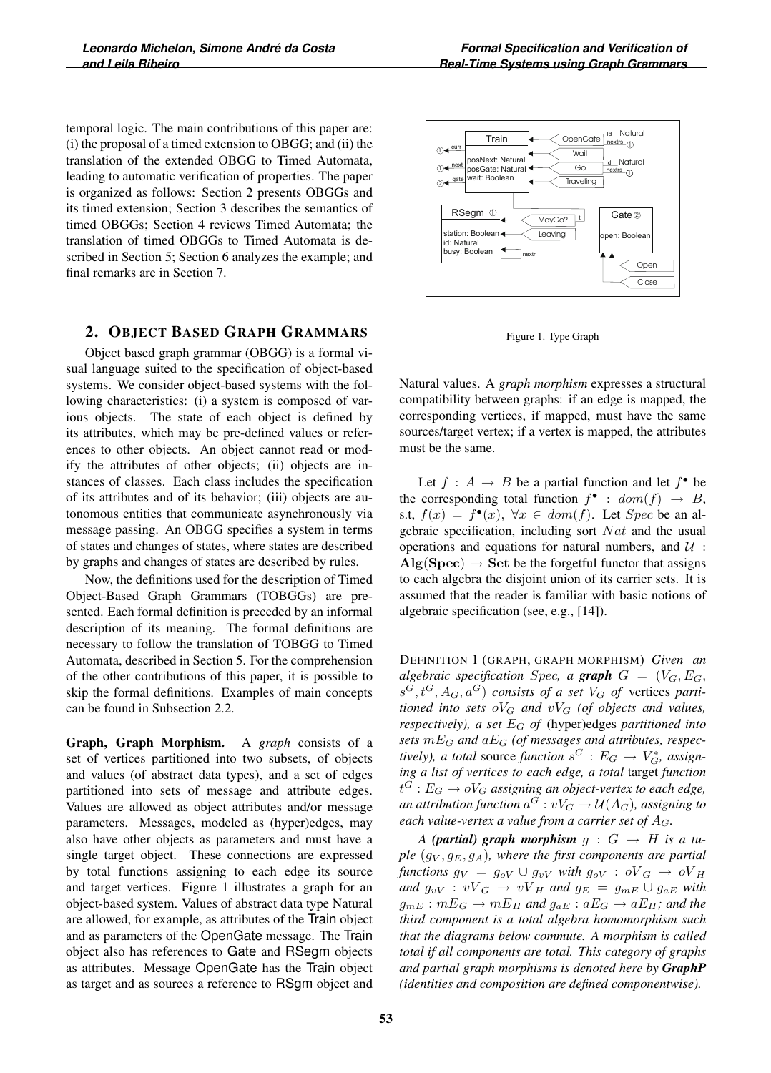temporal logic. The main contributions of this paper are: (i) the proposal of a timed extension to OBGG; and (ii) the translation of the extended OBGG to Timed Automata, leading to automatic verification of properties. The paper is organized as follows: Section 2 presents OBGGs and its timed extension; Section 3 describes the semantics of timed OBGGs; Section 4 reviews Timed Automata; the translation of timed OBGGs to Timed Automata is described in Section 5; Section 6 analyzes the example; and final remarks are in Section 7.

# 2. OBJECT BASED GRAPH GRAMMARS

Object based graph grammar (OBGG) is a formal visual language suited to the specification of object-based systems. We consider object-based systems with the following characteristics: (i) a system is composed of various objects. The state of each object is defined by its attributes, which may be pre-defined values or references to other objects. An object cannot read or modify the attributes of other objects; (ii) objects are instances of classes. Each class includes the specification of its attributes and of its behavior; (iii) objects are autonomous entities that communicate asynchronously via message passing. An OBGG specifies a system in terms of states and changes of states, where states are described by graphs and changes of states are described by rules.

Now, the definitions used for the description of Timed Object-Based Graph Grammars (TOBGGs) are presented. Each formal definition is preceded by an informal description of its meaning. The formal definitions are necessary to follow the translation of TOBGG to Timed Automata, described in Section 5. For the comprehension of the other contributions of this paper, it is possible to skip the formal definitions. Examples of main concepts can be found in Subsection 2.2.

Graph, Graph Morphism. A *graph* consists of a set of vertices partitioned into two subsets, of objects and values (of abstract data types), and a set of edges partitioned into sets of message and attribute edges. Values are allowed as object attributes and/or message parameters. Messages, modeled as (hyper)edges, may also have other objects as parameters and must have a single target object. These connections are expressed by total functions assigning to each edge its source and target vertices. Figure 1 illustrates a graph for an object-based system. Values of abstract data type Natural are allowed, for example, as attributes of the Train object and as parameters of the OpenGate message. The Train object also has references to Gate and RSegm objects as attributes. Message OpenGate has the Train object as target and as sources a reference to RSgm object and



Figure 1. Type Graph

Natural values. A *graph morphism* expresses a structural compatibility between graphs: if an edge is mapped, the corresponding vertices, if mapped, must have the same sources/target vertex; if a vertex is mapped, the attributes must be the same.

Let  $f : A \rightarrow B$  be a partial function and let  $f^{\bullet}$  be the corresponding total function  $f^{\bullet}$  :  $dom(f) \rightarrow B$ , s.t,  $f(x) = f^{\bullet}(x)$ ,  $\forall x \in dom(f)$ . Let *Spec* be an algebraic specification, including sort  $Nat$  and the usual operations and equations for natural numbers, and  $\mathcal{U}$ :  $\text{Alg}(\text{Spec}) \to \text{Set}$  be the forgetful functor that assigns to each algebra the disjoint union of its carrier sets. It is assumed that the reader is familiar with basic notions of algebraic specification (see, e.g., [14]).

DEFINITION 1 (GRAPH, GRAPH MORPHISM) *Given an algebraic specification Spec, a graph*  $G = (V_G, E_G,$  $s^G, t^G, A_G, a^G$  *consists of a set*  $V_G$  *of* vertices parti*tioned into sets*  $\partial V_G$  *and*  $\partial V_G$  *(of objects and values, respectively), a set* <sup>E</sup>G *of* (hyper)edges *partitioned into sets* mEG *and* aEG *(of messages and attributes, respectively), a total* source *function*  $s^G : E_G \to V_G^*$ , assign-<br>*ing a list of vertices to each edge, a total* target *function ing a list of vertices to each edge, a total* target *function*  $t^G : E_G \to oV_G$  assigning an object-vertex to each edge,<br>an attribution function of which  $t^G : M(A)$  assigning to *an attribution function*  $a^G : vV_G \to \mathcal{U}(A_G)$ *, assigning to each value-vertex a value from a carrier set of* <sup>A</sup>G*.*

*A* (partial) graph morphism  $g : G \rightarrow H$  is a tu*ple*  $(q_V, q_E, q_A)$ *, where the first components are partial functions*  $g_V = g_{oV} \cup g_{vV}$  *with*  $g_{oV} : oV_G \rightarrow oV_H$ *and*  $g_{vV}$  :  $vV_G \rightarrow vV_H$  *and*  $g_E = g_{mE} \cup g_{aE}$  *with*  $g_{mE}: mE_G \to mE_H$  and  $g_{aE}: aE_G \to aE_H$ ; and the *third component is a total algebra homomorphism such that the diagrams below commute. A morphism is called total if all components are total. This category of graphs and partial graph morphisms is denoted here by GraphP (identities and composition are defined componentwise).*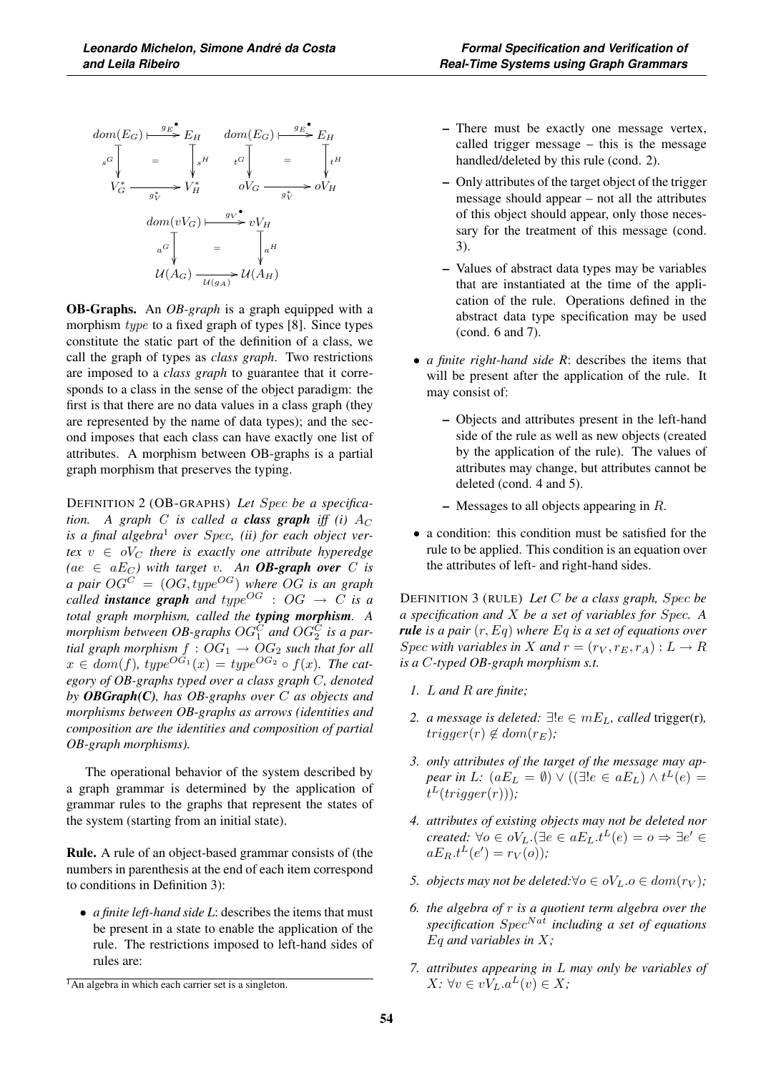

OB-Graphs. An *OB-graph* is a graph equipped with a morphism *type* to a fixed graph of types [8]. Since types constitute the static part of the definition of a class, we call the graph of types as *class graph*. Two restrictions are imposed to a *class graph* to guarantee that it corresponds to a class in the sense of the object paradigm: the first is that there are no data values in a class graph (they are represented by the name of data types); and the second imposes that each class can have exactly one list of attributes. A morphism between OB-graphs is a partial graph morphism that preserves the typing.

DEFINITION 2 (OB-GRAPHS) *Let* Spec *be a specification.* A graph C is called a **class graph** iff (i)  $A_C$ *is a final algebra*<sup>1</sup> *over* Spec*, (ii) for each object ver-* $\textit{text } v \in oV_C$  *there is exactly one attribute hyperedge*  $(ae \in aE_C)$  with target v. An **OB-graph over** C is *a pair*  $OG^C = (OG, type^{OG})$  where  $OG$  *is an graph called* **instance** graph and  $type^{OG}$  :  $OG \rightarrow C$  is a *total graph morphism, called the typing morphism. A* morphism between OB-graphs  $OG_1^C$  and  $OG_2^C$  is a par*tial graph morphism*  $f : OG_1 \rightarrow OG_2$  *such that for all*  $x \in dom(f)$ , type<sup> $O\tilde{G_1}(x) = type^{OG_2} \circ f(x)$ *. The cat-*</sup> *egory of OB-graphs typed over a class graph* C*, denoted by OBGraph(C), has OB-graphs over* C *as objects and morphisms between OB-graphs as arrows (identities and composition are the identities and composition of partial OB-graph morphisms).*

The operational behavior of the system described by a graph grammar is determined by the application of grammar rules to the graphs that represent the states of the system (starting from an initial state).

Rule. A rule of an object-based grammar consists of (the numbers in parenthesis at the end of each item correspond to conditions in Definition 3):

• *a finite left-hand side L*: describes the items that must be present in a state to enable the application of the rule. The restrictions imposed to left-hand sides of rules are:

- There must be exactly one message vertex, called trigger message – this is the message handled/deleted by this rule (cond. 2).
- Only attributes of the target object of the trigger message should appear – not all the attributes of this object should appear, only those necessary for the treatment of this message (cond. 3).
- Values of abstract data types may be variables that are instantiated at the time of the application of the rule. Operations defined in the abstract data type specification may be used (cond. 6 and 7).
- *a finite right-hand side R*: describes the items that will be present after the application of the rule. It may consist of:
	- Objects and attributes present in the left-hand side of the rule as well as new objects (created by the application of the rule). The values of attributes may change, but attributes cannot be deleted (cond. 4 and 5).
	- $-$  Messages to all objects appearing in  $R$ .
- a condition: this condition must be satisfied for the rule to be applied. This condition is an equation over the attributes of left- and right-hand sides.

DEFINITION 3 (RULE) *Let* C *be a class graph,* Spec *be a specification and* X *be a set of variables for* Spec*. A rule is a pair* (r, Eq) *where* Eq *is a set of equations over* Spec with variables in X and  $r = (r_V, r_E, r_A) : L \to R$ *is a* C*-typed OB-graph morphism s.t.*

- *1.* L *and* R *are finite;*
- 2. *a message is deleted:* ∃! $e \in mE_L$ *, called trigger(r),*  $trigger(r) \notin dom(r_E);$
- *3. only attributes of the target of the message may appear in L:*  $(aE_L = \emptyset) \vee ((\exists! e \in aE_L) \wedge t^L(e) = t^L(\text{trigon}(m)))$ .  $t^L(trigger(r))$ );
- *4. attributes of existing objects may not be deleted nor created:*  $\forall o \in oV_L$ . ( $\exists e \in aE_L$ .  $t^L(e) = o \Rightarrow \exists e' \in$  $aE_R.t^L(e') = r_V(o)$ ;
- *5. objects may not be deleted:*∀ $o \in oV_L.o \in dom(r_V)$ ;
- *6. the algebra of* r *is a quotient term algebra over the specification* SpecNat *including a set of equations* Eq *and variables in* X*;*
- *7. attributes appearing in* L *may only be variables of*  $X: \forall v \in vV_L.a^L(v) \in X;$

<sup>&</sup>lt;sup>1</sup>An algebra in which each carrier set is a singleton.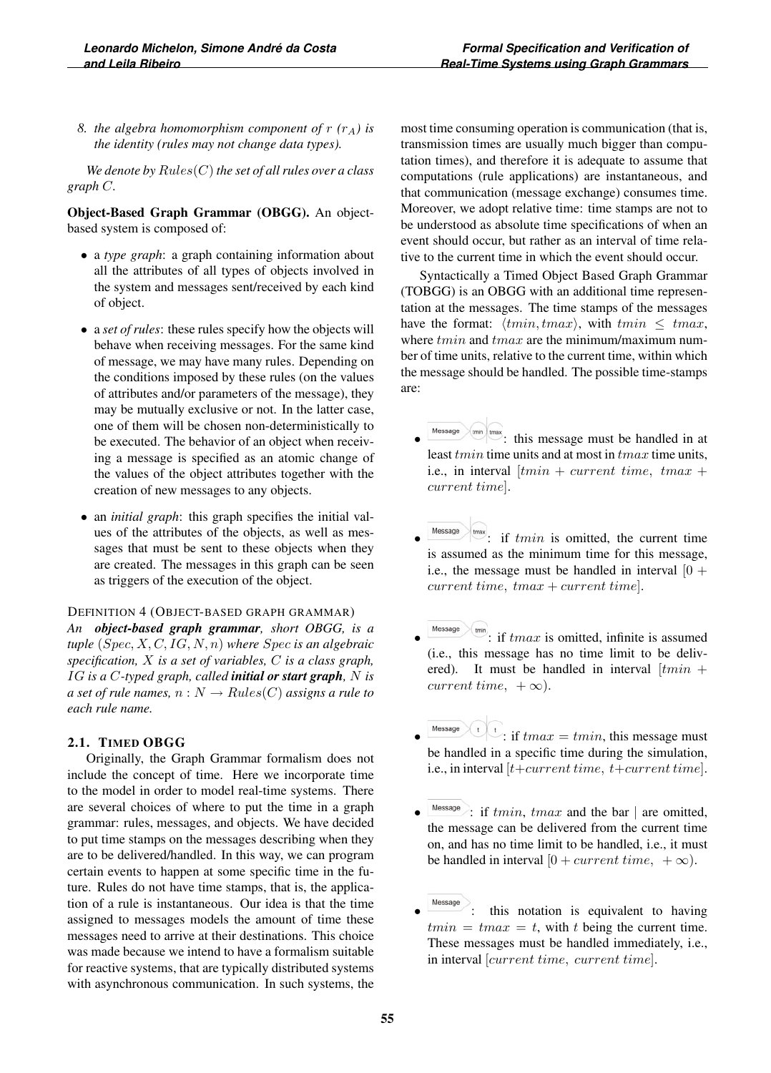*8. the algebra homomorphism component of*  $r(r_A)$  *is the identity (rules may not change data types).*

*We denote by* Rules(C)*the set of all rules over a class graph* C*.*

Object-Based Graph Grammar (OBGG). An objectbased system is composed of:

- a *type graph*: a graph containing information about all the attributes of all types of objects involved in the system and messages sent/received by each kind of object.
- a *set of rules*: these rules specify how the objects will behave when receiving messages. For the same kind of message, we may have many rules. Depending on the conditions imposed by these rules (on the values of attributes and/or parameters of the message), they may be mutually exclusive or not. In the latter case, one of them will be chosen non-deterministically to be executed. The behavior of an object when receiving a message is specified as an atomic change of the values of the object attributes together with the creation of new messages to any objects.
- an *initial graph*: this graph specifies the initial values of the attributes of the objects, as well as messages that must be sent to these objects when they are created. The messages in this graph can be seen as triggers of the execution of the object.

DEFINITION 4 (OBJECT-BASED GRAPH GRAMMAR)

*An object-based graph grammar, short OBGG, is a tuple* (Spec, X, C, IG, N, n) *where* Spec *is an algebraic specification,* X *is a set of variables,* C *is a class graph,* IG *is a* C*-typed graph, called initial or start graph,* N *is a set of rule names,*  $n: N \rightarrow Rules(C)$  *assigns a rule to each rule name.*

#### 2.1. TIMED OBGG

Originally, the Graph Grammar formalism does not include the concept of time. Here we incorporate time to the model in order to model real-time systems. There are several choices of where to put the time in a graph grammar: rules, messages, and objects. We have decided to put time stamps on the messages describing when they are to be delivered/handled. In this way, we can program certain events to happen at some specific time in the future. Rules do not have time stamps, that is, the application of a rule is instantaneous. Our idea is that the time assigned to messages models the amount of time these messages need to arrive at their destinations. This choice was made because we intend to have a formalism suitable for reactive systems, that are typically distributed systems with asynchronous communication. In such systems, the most time consuming operation is communication (that is, transmission times are usually much bigger than computation times), and therefore it is adequate to assume that computations (rule applications) are instantaneous, and that communication (message exchange) consumes time. Moreover, we adopt relative time: time stamps are not to be understood as absolute time specifications of when an event should occur, but rather as an interval of time relative to the current time in which the event should occur.

Syntactically a Timed Object Based Graph Grammar (TOBGG) is an OBGG with an additional time representation at the messages. The time stamps of the messages have the format:  $\langle tmin, tmax \rangle$ , with  $tmin \leq tmax$ , where  $tmin$  and  $tmax$  are the minimum/maximum number of time units, relative to the current time, within which the message should be handled. The possible time-stamps are:

- $\mathbb{P}^{\text{max}}$ : this message must be handled in at least *tmin* time units and at most in *tmax* time units, i.e., in interval  $[tmin + current$  time,  $tmax +$ current time].
- $\stackrel{\text{max}}{=}$ : if *tmin* is omitted, the current time is assumed as the minimum time for this message, i.e., the message must be handled in interval  $[0 +$  $current time, tmax + current time$ ].
- $\mathbb{P}$ : if tmax is omitted, infinite is assumed (i.e., this message has no time limit to be delivered). It must be handled in interval  $[tmin +$ current time,  $+\infty$ ).
- Message  $\left\{ \cdot \right\}$  if  $tmax = tmin$ , this message must be handled in a specific time during the simulation, i.e., in interval  $[t+current\ time, t+current\ time]$ .
- $\frac{M \text{less age}}{M}$ : if  $tmin$ ,  $tmax$  and the bar | are omitted, the message can be delivered from the current time on, and has no time limit to be handled, i.e., it must be handled in interval  $[0 + current time, +\infty)$ .
- this notation is equivalent to having  $tmin = tmax = t$ , with t being the current time. These messages must be handled immediately, i.e., in interval [current time, current time].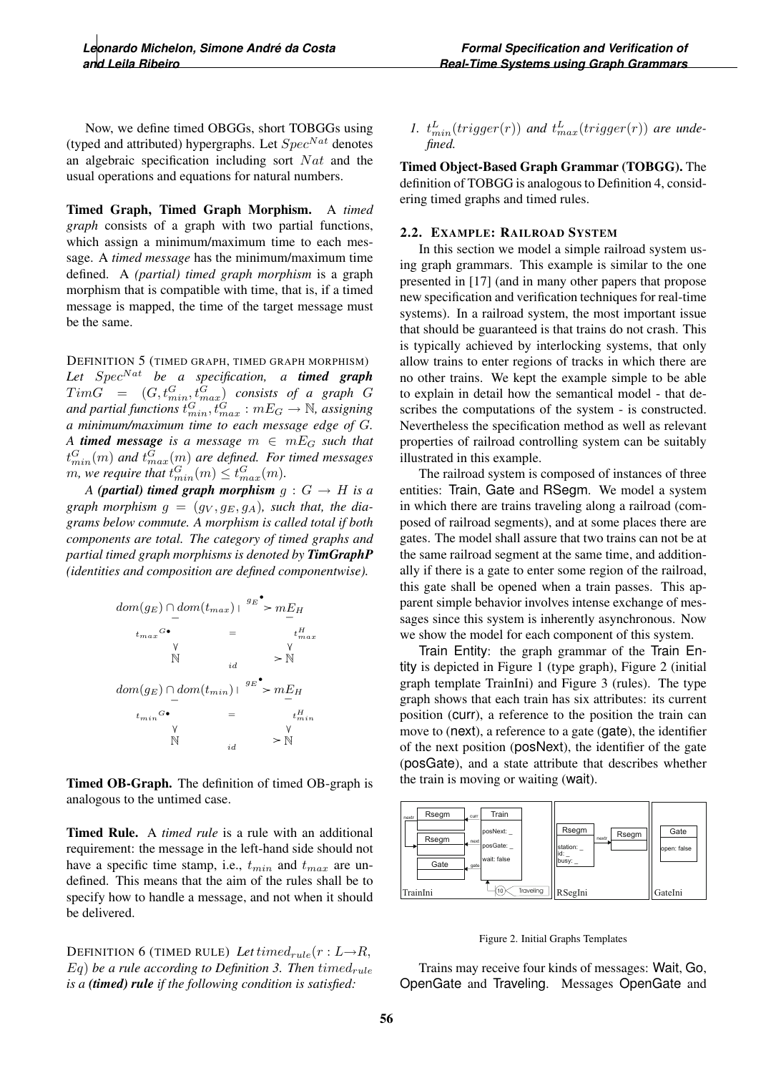Now, we define timed OBGGs, short TOBGGs using (typed and attributed) hypergraphs. Let  $Spec^{Nat}$  denotes an algebraic specification including sort  $Nat$  and the usual operations and equations for natural numbers.

Timed Graph, Timed Graph Morphism. A *timed graph* consists of a graph with two partial functions, which assign a minimum/maximum time to each message. A *timed message* has the minimum/maximum time defined. A *(partial) timed graph morphism* is a graph morphism that is compatible with time, that is, if a timed message is mapped, the time of the target message must be the same.

DEFINITION 5 (TIMED GRAPH, TIMED GRAPH MORPHISM) Let Spec<sup>Nat</sup> be a specification, a **timed graph**  $TimeG = (G, t_{min}^G, t_{max}^G)$  consists of a graph G<br>and partial functions  $t_{min}^G, t_{max}^G : mE_G \rightarrow \mathbb{N}$ , assigning<br>a minimum/maximum time to each massage adge of G *a minimum/maximum time to each message edge of* G*. A* **timed message** is a message  $m \in mE_G$  such that  $t_{min}^G(m)$  and  $t_{max}^G(m)$  are defined. For timed messages<br>m, we require that  $t_{min}^G(m) \le t_{max}^G(m)$ .<br>A (partial) timed graph morphism  $\alpha : G \to H$  is a

*A* (partial) timed graph morphism  $g : G \to H$  is a graph morphism  $g = (g_V, g_E, g_A)$ , such that, the dia*grams below commute. A morphism is called total if both components are total. The category of timed graphs and partial timed graph morphisms is denoted by TimGraphP (identities and composition are defined componentwise).*



Timed OB-Graph. The definition of timed OB-graph is analogous to the untimed case.

Timed Rule. A *timed rule* is a rule with an additional requirement: the message in the left-hand side should not have a specific time stamp, i.e.,  $t_{min}$  and  $t_{max}$  are undefined. This means that the aim of the rules shall be to specify how to handle a message, and not when it should be delivered.

DEFINITION 6 (TIMED RULE) Let time $d_{rule}(r: L \rightarrow R,$  $Eq$ ) be a rule according to Definition 3. Then timed<sub>rule</sub> *is a (timed) rule if the following condition is satisfied:*

1.  $t_{min}^L(trigger(r))$  and  $t_{max}^L(trigger(r))$  are undefined.

Timed Object-Based Graph Grammar (TOBGG). The definition of TOBGG is analogous to Definition 4, considering timed graphs and timed rules.

#### 2.2. EXAMPLE: RAILROAD SYSTEM

In this section we model a simple railroad system using graph grammars. This example is similar to the one presented in [17] (and in many other papers that propose new specification and verification techniques for real-time systems). In a railroad system, the most important issue that should be guaranteed is that trains do not crash. This is typically achieved by interlocking systems, that only allow trains to enter regions of tracks in which there are no other trains. We kept the example simple to be able to explain in detail how the semantical model - that describes the computations of the system - is constructed. Nevertheless the specification method as well as relevant properties of railroad controlling system can be suitably illustrated in this example.

The railroad system is composed of instances of three entities: Train, Gate and RSegm. We model a system in which there are trains traveling along a railroad (composed of railroad segments), and at some places there are gates. The model shall assure that two trains can not be at the same railroad segment at the same time, and additionally if there is a gate to enter some region of the railroad, this gate shall be opened when a train passes. This apparent simple behavior involves intense exchange of messages since this system is inherently asynchronous. Now we show the model for each component of this system.

Train Entity: the graph grammar of the Train Entity is depicted in Figure 1 (type graph), Figure 2 (initial graph template TrainIni) and Figure 3 (rules). The type graph shows that each train has six attributes: its current position (curr), a reference to the position the train can move to (next), a reference to a gate (gate), the identifier of the next position (posNext), the identifier of the gate (posGate), and a state attribute that describes whether the train is moving or waiting (wait).



Figure 2. Initial Graphs Templates

Trains may receive four kinds of messages: Wait, Go, OpenGate and Traveling. Messages OpenGate and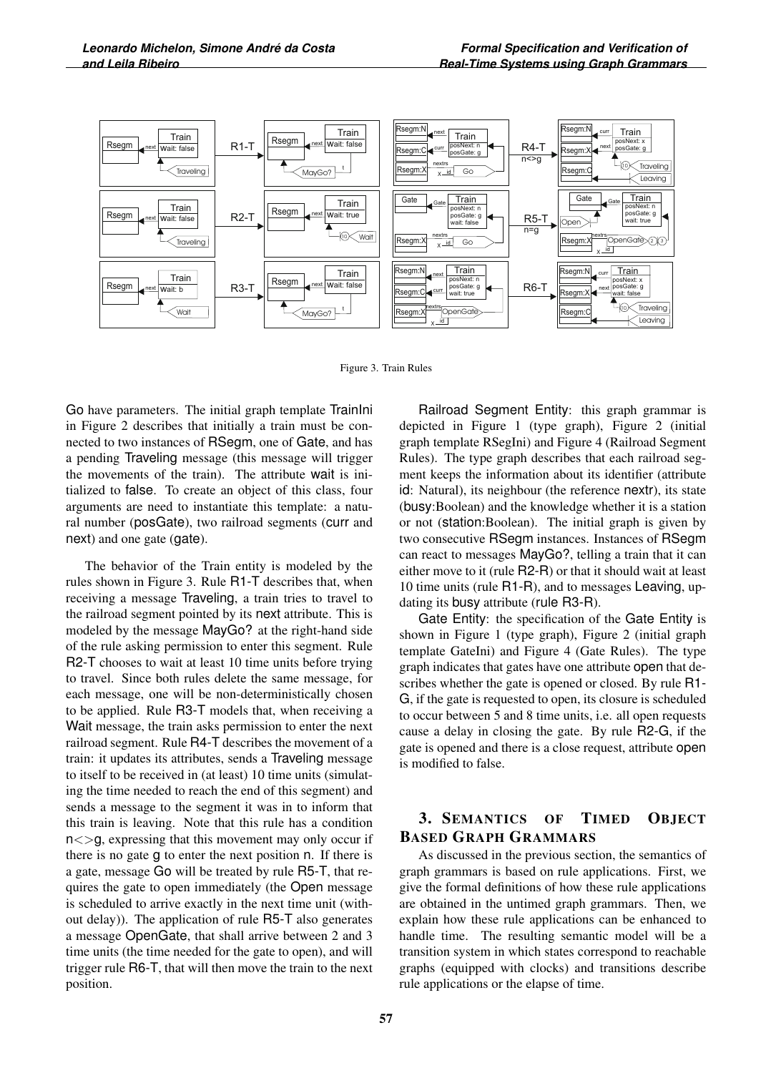

Figure 3. Train Rules

Go have parameters. The initial graph template TrainIni in Figure 2 describes that initially a train must be connected to two instances of RSegm, one of Gate, and has a pending Traveling message (this message will trigger the movements of the train). The attribute wait is initialized to false. To create an object of this class, four arguments are need to instantiate this template: a natural number (posGate), two railroad segments (curr and next) and one gate (gate).

The behavior of the Train entity is modeled by the rules shown in Figure 3. Rule R1-T describes that, when receiving a message Traveling, a train tries to travel to the railroad segment pointed by its next attribute. This is modeled by the message MayGo? at the right-hand side of the rule asking permission to enter this segment. Rule R2-T chooses to wait at least 10 time units before trying to travel. Since both rules delete the same message, for each message, one will be non-deterministically chosen to be applied. Rule R3-T models that, when receiving a Wait message, the train asks permission to enter the next railroad segment. Rule R4-T describes the movement of a train: it updates its attributes, sends a Traveling message to itself to be received in (at least) 10 time units (simulating the time needed to reach the end of this segment) and sends a message to the segment it was in to inform that this train is leaving. Note that this rule has a condition  $n \leq 9$ , expressing that this movement may only occur if there is no gate g to enter the next position n. If there is a gate, message Go will be treated by rule R5-T, that requires the gate to open immediately (the Open message is scheduled to arrive exactly in the next time unit (without delay)). The application of rule R5-T also generates a message OpenGate, that shall arrive between 2 and 3 time units (the time needed for the gate to open), and will trigger rule R6-T, that will then move the train to the next position.

Railroad Segment Entity: this graph grammar is depicted in Figure 1 (type graph), Figure 2 (initial graph template RSegIni) and Figure 4 (Railroad Segment Rules). The type graph describes that each railroad segment keeps the information about its identifier (attribute id: Natural), its neighbour (the reference nextr), its state (busy:Boolean) and the knowledge whether it is a station or not (station:Boolean). The initial graph is given by two consecutive RSegm instances. Instances of RSegm can react to messages MayGo?, telling a train that it can either move to it (rule R2-R) or that it should wait at least 10 time units (rule R1-R), and to messages Leaving, updating its busy attribute (rule R3-R).

Gate Entity: the specification of the Gate Entity is shown in Figure 1 (type graph), Figure 2 (initial graph template GateIni) and Figure 4 (Gate Rules). The type graph indicates that gates have one attribute open that describes whether the gate is opened or closed. By rule R1- G, if the gate is requested to open, its closure is scheduled to occur between 5 and 8 time units, i.e. all open requests cause a delay in closing the gate. By rule R2-G, if the gate is opened and there is a close request, attribute open is modified to false.

# 3. SEMANTICS OF TIMED OBJECT BASED GRAPH GRAMMARS

As discussed in the previous section, the semantics of graph grammars is based on rule applications. First, we give the formal definitions of how these rule applications are obtained in the untimed graph grammars. Then, we explain how these rule applications can be enhanced to handle time. The resulting semantic model will be a transition system in which states correspond to reachable graphs (equipped with clocks) and transitions describe rule applications or the elapse of time.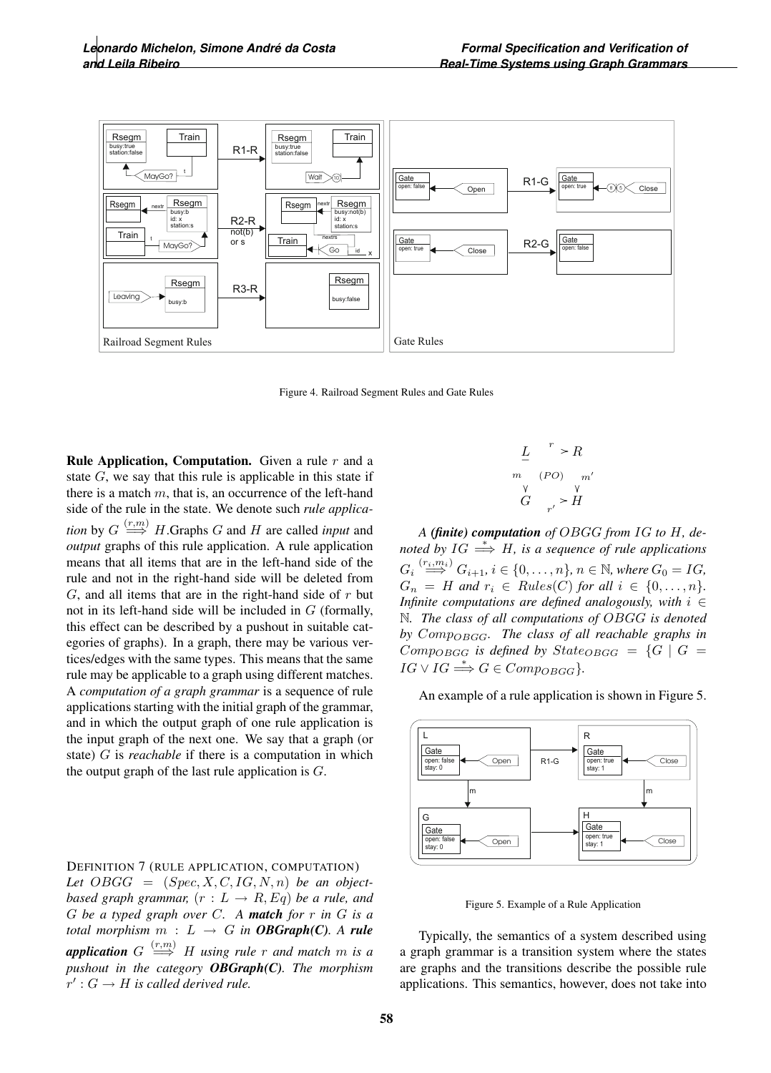

Figure 4. Railroad Segment Rules and Gate Rules

**Rule Application, Computation.** Given a rule  $r$  and a state  $G$ , we say that this rule is applicable in this state if there is a match  $m$ , that is, an occurrence of the left-hand side of the rule in the state. We denote such *rule application* by  $G \stackrel{(r,m)}{\Longrightarrow} H$ .Graphs  $G$  and  $H$  are called *input* and *output* graphs of this rule application. A rule application means that all items that are in the left-hand side of the rule and not in the right-hand side will be deleted from  $G$ , and all items that are in the right-hand side of  $r$  but not in its left-hand side will be included in  $G$  (formally, this effect can be described by a pushout in suitable categories of graphs). In a graph, there may be various vertices/edges with the same types. This means that the same rule may be applicable to a graph using different matches. A *computation of a graph grammar* is a sequence of rule applications starting with the initial graph of the grammar, and in which the output graph of one rule application is the input graph of the next one. We say that a graph (or state) G is *reachable* if there is a computation in which the output graph of the last rule application is  $G$ .

#### DEFINITION 7 (RULE APPLICATION, COMPUTATION)

Let  $OBGG = (Spec, X, C, IG, N, n)$  *be an objectbased graph grammar,*  $(r : L \rightarrow R, Eq)$  *be a rule, and* G *be a typed graph over* C*. A match for* r *in* G *is a total morphism*  $m : L \rightarrow G$  *in OBGraph(C). A rule* **application** G  $\stackrel{(r,m)}{\Longrightarrow}$  H using rule r and match m is a *pushout in the category OBGraph(C). The morphism*  $r' : G \to H$  is called derived rule.

$$
\begin{array}{ccc}\nL & r > R \\
m & (PO) & m' \\
V & V & V \\
G & r' > H\n\end{array}
$$

*A (finite) computation of* OBGG *from* IG *to* H*, denoted by*  $IG \stackrel{*}{\Longrightarrow} H$ *, is a sequence of rule applications*  $G_i \stackrel{(r_i,m_i)}{\Longrightarrow} G_{i+1}, i \in \{0,\ldots,n\}, n \in \mathbb{N}, \text{where } G_0 = IG,$ <br>  $G = H \text{ and } g \in \text{Bulge}(G) \text{ for all } i \in [0,\ldots,n]$  $G_n = H$  and  $r_i \in Rules(C)$  for all  $i \in \{0, \ldots, n\}.$ *Infinite computations are defined analogously, with*  $i \in$ N*. The class of all computations of* OBGG *is denoted by* CompOBGG*. The class of all reachable graphs in*  $Comp_{OBGG}$  *is defined by State*<sub>OBGG</sub> =  $\{G \mid G =$  $IG \vee IG \stackrel{*}{\Longrightarrow} G \in Comp_{OBGG}$ 

An example of a rule application is shown in Figure 5.



Figure 5. Example of a Rule Application

Typically, the semantics of a system described using a graph grammar is a transition system where the states are graphs and the transitions describe the possible rule applications. This semantics, however, does not take into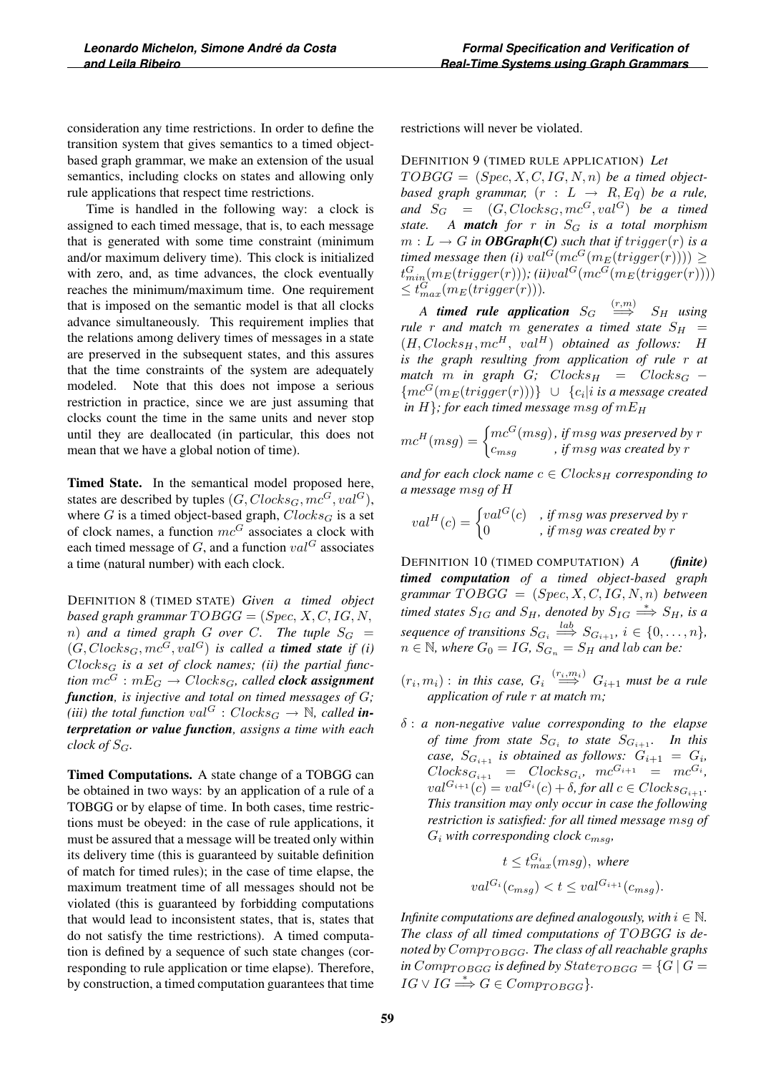consideration any time restrictions. In order to define the transition system that gives semantics to a timed objectbased graph grammar, we make an extension of the usual semantics, including clocks on states and allowing only rule applications that respect time restrictions.

Time is handled in the following way: a clock is assigned to each timed message, that is, to each message that is generated with some time constraint (minimum and/or maximum delivery time). This clock is initialized with zero, and, as time advances, the clock eventually reaches the minimum/maximum time. One requirement that is imposed on the semantic model is that all clocks advance simultaneously. This requirement implies that the relations among delivery times of messages in a state are preserved in the subsequent states, and this assures that the time constraints of the system are adequately modeled. Note that this does not impose a serious restriction in practice, since we are just assuming that clocks count the time in the same units and never stop until they are deallocated (in particular, this does not mean that we have a global notion of time).

Timed State. In the semantical model proposed here, states are described by tuples  $(G, Clocks_G, mc^G, val^G),$ where  $G$  is a timed object-based graph,  $Clocks_G$  is a set of clock names, a function  $mc<sup>G</sup>$  associates a clock with each timed message of G, and a function  $val^G$  associates a time (natural number) with each clock.

DEFINITION 8 (TIMED STATE) *Given a timed object based graph grammar*  $TOBGG = (Spec, X, C, IG, N,$  $n)$  *and a timed graph G over C. The tuple*  $S_G$  =  $(G, Clocks<sub>G</sub>, mc<sup>G</sup>, val<sup>G</sup>)$  *is called a timed state if (i)*  $Clocks_G$  is a set of clock names; (ii) the partial func*tion*  $mc^G$  :  $mE_G \rightarrow Closed_{G}$ , called **clock assignment** *function, is injective and total on timed messages of* G*; (iii) the total function*  $val^G : Closeds_G \rightarrow \mathbb{N}$ *, called interpretation or value function, assigns a time with each clock of*  $S_G$ *.* 

Timed Computations. A state change of a TOBGG can be obtained in two ways: by an application of a rule of a TOBGG or by elapse of time. In both cases, time restrictions must be obeyed: in the case of rule applications, it must be assured that a message will be treated only within its delivery time (this is guaranteed by suitable definition of match for timed rules); in the case of time elapse, the maximum treatment time of all messages should not be violated (this is guaranteed by forbidding computations that would lead to inconsistent states, that is, states that do not satisfy the time restrictions). A timed computation is defined by a sequence of such state changes (corresponding to rule application or time elapse). Therefore, by construction, a timed computation guarantees that time restrictions will never be violated.

DEFINITION 9 (TIMED RULE APPLICATION) *Let*  $TOBGG = (Spec, X, C, IG, N, n)$  *be a timed objectbased graph grammar,*  $(r : L \rightarrow R, Eq)$  *be a rule,* and  $S_G = (G, Clocks_G, mc^G, val^G)$  *be a timed state.* A **match** for r in  $S_G$  is a total morphism  $m: L \to G$  *in OBGraph(C) such that if trigger(r) is a timed message then (i)*  $val^G(mc^G(m_E(trigger(r)))) \ge$  $\begin{array}{l} t_{min}^G(m_E(trigger(r))), (ii) val^G(mc^G(m_E(trigger(r))))\ \leq t_{max}^G(m_E(trigger(r))).\ \end{array}$ 

*A* **timed rule application**  $S_G \xrightarrow{(r,m)} S_H$  using *rule r and match m generates a timed state*  $S_H$  =  $(H, Clocks_H, mc^H, val^H)$  *obtained as follows:* H *is the graph resulting from application of rule* r *at*  $match \t m \t in \t graph \t G; \t Clocks<sub>H</sub> = Clocks<sub>G</sub> {mc^G(m_E(trigger(r)))}\cup {c_i|i}$  *is a message created in*  $H$ *}; for each timed message msg of*  $mE$ *H* 

$$
mc^{H}(msg) = \begin{cases} mc^{G}(msg), & \text{if msg was preserved by } r \\ c_{msg}, & \text{if msg was created by } r \end{cases}
$$

and for each clock name  $c \in Closed_{H}$  corresponding to *a message* msg *of* H

$$
val^{H}(c) = \begin{cases} val^{G}(c) & , \text{ if } msg \text{ was preserved by } r \\ 0 & , \text{ if } msg \text{ was created by } r \end{cases}
$$

DEFINITION 10 (TIMED COMPUTATION) *A (finite) timed computation of a timed object-based graph*  $\mathit{grammar} \, TOBGG = (Spec, X, C, IG, N, n) \, \mathit{between}$ *timed states*  $S_{IG}$  *and*  $S_H$ *, denoted by*  $S_{IG} \stackrel{*}{\Longrightarrow} S_H$ *, is a sequence of transitions*  $S_{G_i} \stackrel{\text{def}}{\Rightarrow} S_{G_{i+1}}, i \in \{0, \ldots, n\},$ <br> $S \subseteq \mathbb{N}$  where  $C = IC$   $S = S$  and let as here  $n \in \mathbb{N}$ , where  $G_0 = IG$ ,  $S_{G_n} = S_H$  and lab can be:

- $(r_i, m_i)$ : *in this case,*  $G_i \stackrel{(r_i, m_i)}{\longrightarrow} G_{i+1}$  *must be a rule application of rule* r *at match* m*;*
- δ : *a non-negative value corresponding to the elapse of time from state*  $S_{G_i}$  *to state*  $S_{G_{i+1}}$ *. In this case,*  $S_{G_{i+1}}$  *is obtained as follows:*  $G_{i+1} = G_i$ ,  $Clocks_{G_{i+1}} = Clocks_{G_i}, mc^{G_{i+1}} = mc^{G_i},$  $val^{G_{i+1}}(c) = val^{G_i}(c) + \delta$ , for all  $c \in Closeds_{G_{i+1}}$ . *This transition may only occur in case the following restriction is satisfied: for all timed message* msg *of*  $G_i$  with corresponding clock  $c_{msq}$ ,

$$
t \le t_{max}^{G_i}(msg), \text{ where}
$$
  

$$
val^{G_i}(c_{msg}) < t \le val^{G_{i+1}}(c_{msg}).
$$

*Infinite computations are defined analogously, with*  $i \in \mathbb{N}$ . The class of all timed computations of TOBGG is denoted by  $Comp_{TOBGG}$ . The class of all reachable graphs *in* Comp<sub>TOBGG</sub> *is defined by*  $State_{TOBGG} = \{G \mid G =$  $IG \vee IG \stackrel{*}{\Longrightarrow} G \in Comp_{TOBGG}$ *}*.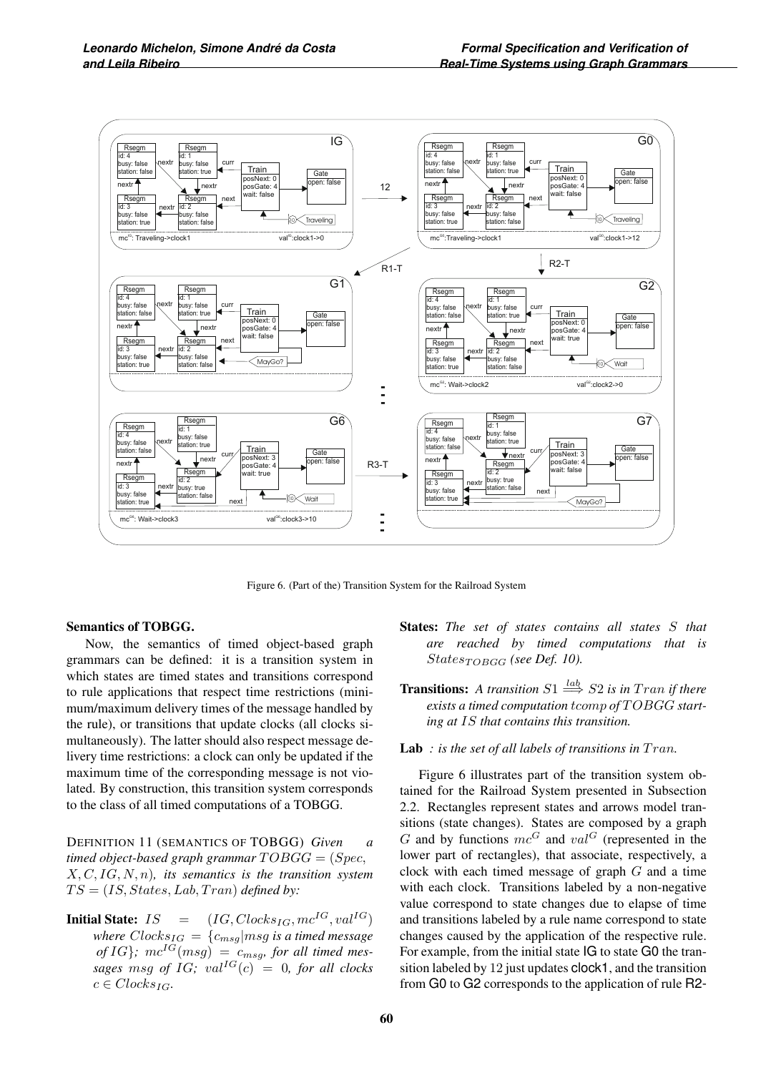

Figure 6. (Part of the) Transition System for the Railroad System

#### Semantics of TOBGG.

Now, the semantics of timed object-based graph grammars can be defined: it is a transition system in which states are timed states and transitions correspond to rule applications that respect time restrictions (minimum/maximum delivery times of the message handled by the rule), or transitions that update clocks (all clocks simultaneously). The latter should also respect message delivery time restrictions: a clock can only be updated if the maximum time of the corresponding message is not violated. By construction, this transition system corresponds to the class of all timed computations of a TOBGG.

DEFINITION 11 (SEMANTICS OF TOBGG) *Given a timed object-based graph grammar*  $TOBGG = (Spec,$ X, C, IG, N, n)*, its semantics is the transition system*  $TS = (IS, States, Lab, Tran)$  *defined by:* 

**Initial State:**  $IS = (IG, Clocks_{IG}, mc^{IG}, val^{IG})$ *where*  $Clocks_{IG} = {c_{msg}}$ *msg is a timed message*  $of IG$ ;  $mc^{IG}(msg) = c_{msg}$ , for all timed mes*sages* msg of IG;  $val^{IG}(c) = 0$ , for all clocks  $c \in Clocks_{IG}$ .

- States: *The set of states contains all states* S *that are reached by timed computations that is*  $States_{TOBGG}$  (see Def. 10).
- **Transitions:** A transition  $S1 \stackrel{lab}{\Longrightarrow} S2$  is in Tran if there exists a timed computation tcomp of  $TOBGG$  start*ing at* IS *that contains this transition.*

Lab : is the set of all labels of transitions in Tran.

Figure 6 illustrates part of the transition system obtained for the Railroad System presented in Subsection 2.2. Rectangles represent states and arrows model transitions (state changes). States are composed by a graph G and by functions  $mc^G$  and  $val^G$  (represented in the lower part of rectangles), that associate, respectively, a clock with each timed message of graph  $G$  and a time with each clock. Transitions labeled by a non-negative value correspond to state changes due to elapse of time and transitions labeled by a rule name correspond to state changes caused by the application of the respective rule. For example, from the initial state IG to state G0 the transition labeled by 12 just updates clock1, and the transition from G0 to G2 corresponds to the application of rule R2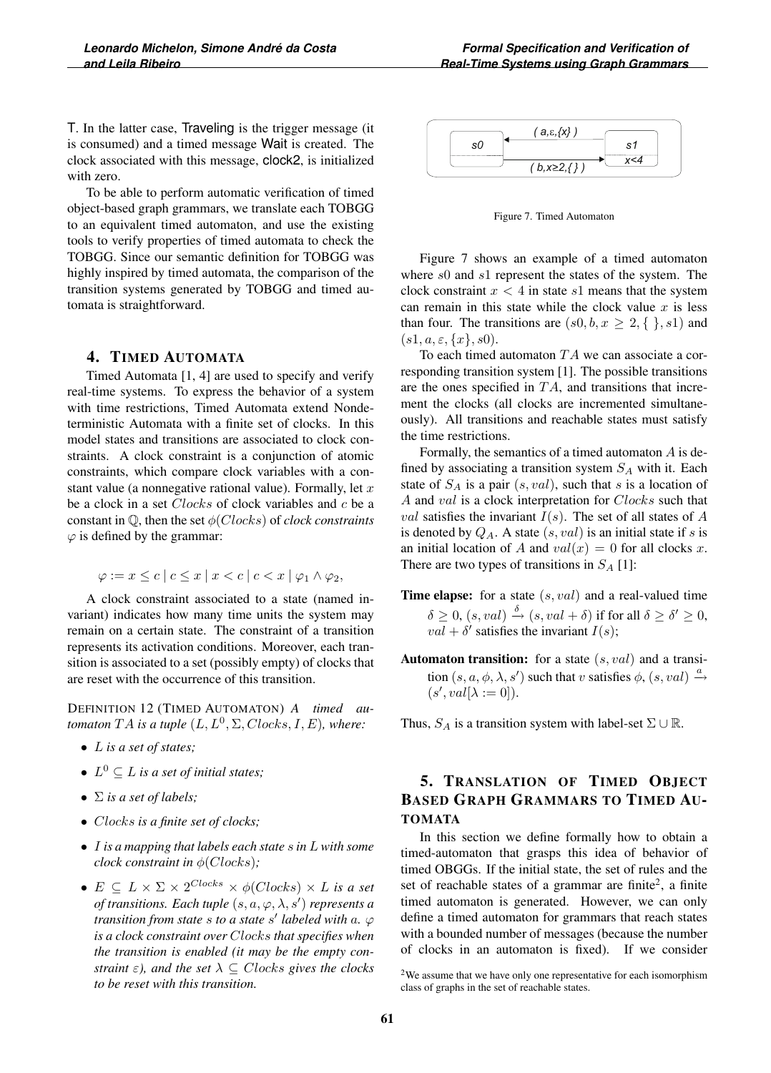T. In the latter case, Traveling is the trigger message (it is consumed) and a timed message Wait is created. The clock associated with this message, clock2, is initialized with zero.

To be able to perform automatic verification of timed object-based graph grammars, we translate each TOBGG to an equivalent timed automaton, and use the existing tools to verify properties of timed automata to check the TOBGG. Since our semantic definition for TOBGG was highly inspired by timed automata, the comparison of the transition systems generated by TOBGG and timed automata is straightforward.

### 4. TIMED AUTOMATA

Timed Automata [1, 4] are used to specify and verify real-time systems. To express the behavior of a system with time restrictions, Timed Automata extend Nondeterministic Automata with a finite set of clocks. In this model states and transitions are associated to clock constraints. A clock constraint is a conjunction of atomic constraints, which compare clock variables with a constant value (a nonnegative rational value). Formally, let  $x$ be a clock in a set *Clocks* of clock variables and c be a constant in Q, then the set φ(Clocks) of *clock constraints*  $\varphi$  is defined by the grammar:

$$
\varphi := x \leq c \mid c \leq x \mid x < c \mid c < x \mid \varphi_1 \wedge \varphi_2,
$$

A clock constraint associated to a state (named invariant) indicates how many time units the system may remain on a certain state. The constraint of a transition represents its activation conditions. Moreover, each transition is associated to a set (possibly empty) of clocks that are reset with the occurrence of this transition.

DEFINITION 12 (TIMED AUTOMATON) *A timed automaton*  $TA$  *is a tuple*  $(L, L^0, \Sigma, Clocks, I, E)$ *, where:* 

- L *is a set of states;*
- $L^0 \subset L$  *is a set of initial states;*
- Σ *is a set of labels;*
- Clocks *is a finite set of clocks;*
- I *is a mapping that labels each state* s *in* L *with some clock constraint in*  $\phi$ (*Clocks*)*;*
- $E \subseteq L \times \Sigma \times 2^{Clocks} \times \phi(Clocks) \times L$  *is a set* of transitions. Each tuple  $(s, a, \varphi, \lambda, s')$  represents a *transition from state s to a state s' labeled with a.*  $\varphi$ *is a clock constraint over* Clocks *that specifies when the transition is enabled (it may be the empty constraint*  $\varepsilon$ *), and the set*  $\lambda \subseteq Clocks$  *gives the clocks to be reset with this transition.*



Figure 7. Timed Automaton

Figure 7 shows an example of a timed automaton where s0 and s1 represent the states of the system. The clock constraint  $x < 4$  in state  $s1$  means that the system can remain in this state while the clock value  $x$  is less than four. The transitions are  $(s0, b, x \geq 2, \{ \} , s1)$  and  $(s1, a, \varepsilon, \{x\}, s0).$ 

To each timed automaton  $TA$  we can associate a corresponding transition system [1]. The possible transitions are the ones specified in  $TA$ , and transitions that increment the clocks (all clocks are incremented simultaneously). All transitions and reachable states must satisfy the time restrictions.

Formally, the semantics of a timed automaton  $A$  is defined by associating a transition system  $S_A$  with it. Each state of  $S_A$  is a pair  $(s, val)$ , such that s is a location of A and val is a clock interpretation for Clocks such that val satisfies the invariant  $I(s)$ . The set of all states of A is denoted by  $Q_A$ . A state  $(s, val)$  is an initial state if s is an initial location of A and  $val(x)=0$  for all clocks x. There are two types of transitions in  $S_A$  [1]:

- **Time elapse:** for a state  $(s, val)$  and a real-valued time  $\delta \geq 0$ ,  $(s, val) \stackrel{o}{\rightarrow} (s, val + \delta)$  if for all  $\delta \geq \delta' \geq 0$ ,  $val + \delta'$  satisfies the invariant  $I(s)$ ;
- **Automaton transition:** for a state  $(s, val)$  and a transition  $(s, a, \phi, \lambda, s')$  such that v satisfies  $\phi$ ,  $(s, val) \xrightarrow{a}$  $(s', val[\lambda := 0]).$

Thus,  $S_A$  is a transition system with label-set  $\Sigma \cup \mathbb{R}$ .

# 5. TRANSLATION OF TIMED OBJECT BASED GRAPH GRAMMARS TO TIMED AU-TOMATA

In this section we define formally how to obtain a timed-automaton that grasps this idea of behavior of timed OBGGs. If the initial state, the set of rules and the set of reachable states of a grammar are finite<sup>2</sup>, a finite timed automaton is generated. However, we can only define a timed automaton for grammars that reach states with a bounded number of messages (because the number of clocks in an automaton is fixed). If we consider

<sup>&</sup>lt;sup>2</sup>We assume that we have only one representative for each isomorphism class of graphs in the set of reachable states.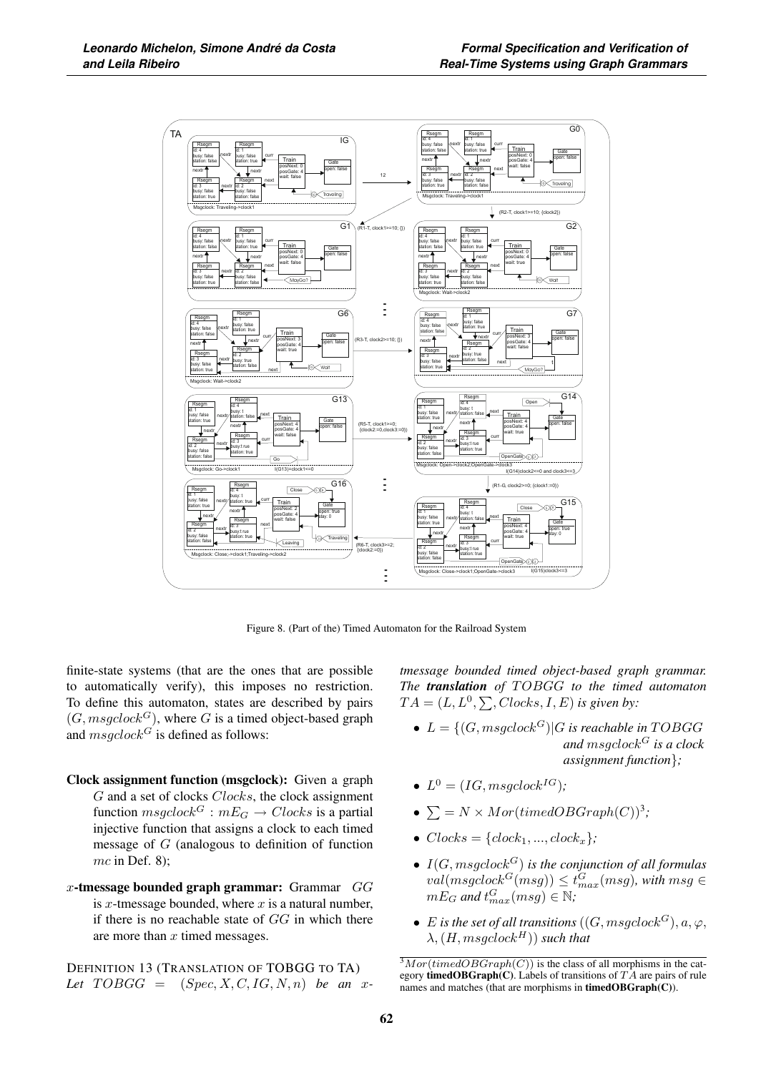

Figure 8. (Part of the) Timed Automaton for the Railroad System

finite-state systems (that are the ones that are possible to automatically verify), this imposes no restriction. To define this automaton, states are described by pairs  $(G, mgclock^G)$ , where G is a timed object-based graph and  $msgclock^G$  is defined as follows:

- Clock assignment function (msgclock): Given a graph G and a set of clocks Clocks, the clock assignment function  $msgclock^G : mE_G \rightarrow Clocks$  is a partial injective function that assigns a clock to each timed message of  $G$  (analogous to definition of function  $mc$  in Def. 8);
- x-tmessage bounded graph grammar:  $G$ ammar  $GG$ is x-tmessage bounded, where  $x$  is a natural number, if there is no reachable state of  $GG$  in which there are more than  $x$  timed messages.

DEFINITION 13 (TRANSLATION OF TOBGG TO TA) Let  $TOBGG = (Spec, X, C, IG, N, n)$  *be an x*- *tmessage bounded timed object-based graph grammar. The translation of* T OBGG *to the timed automaton*  $TA = (L, L^0, \sum, Clocks, I, E)$  is given by:

- $L = \{(G, msgclock^G) | G \text{ is reachable in TOBGG}\}$ *and* msgclock<sup>G</sup> *is a clock assignment function*}*;*
- $L^0 = (IG, mgclock^{IG})$ ;
- $\sum = N \times Mor(timedOBGraph(C))^3;$
- $Clocks = {clock<sub>1</sub>, ..., clock<sub>x</sub>};$
- $I(G, msgclock^G)$  *is the conjunction of all formulas*  $\begin{array}{l} \mathrm{val}(\mathit{msgclock}^G(\mathit{msg}))\leq t_{max}^G(\mathit{msg}), \textit{with } \mathit{msg} \in \ \mathit{mEx} \ \mathit{and} \ t^G \pmod{\in \mathbb{N}}. \end{array}$  $mE_G$  and  $t_{max}^G(msg) \in \mathbb{N}$ ;
- E is the set of all transitions  $((G, msgclock^G), a, \varphi,$  $\lambda$ ,  $(H, mgglock^H)$ *) such that*

 $\sqrt[3]{3}$  Mor(timedOBGraph(C)) is the class of all morphisms in the category **timedOBGraph(C)**. Labels of transitions of  $TA$  are pairs of rule names and matches (that are morphisms in timedOBGraph(C)).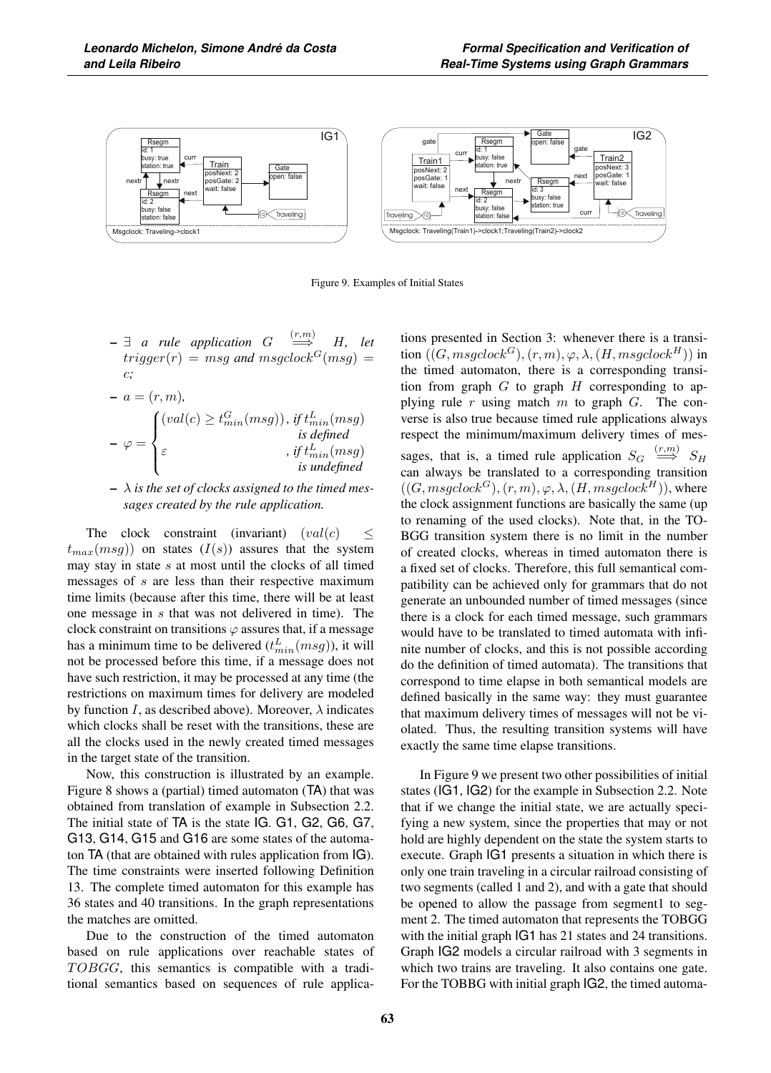

Figure 9. Examples of Initial States

 $- \exists$  *a* rule application  $G \stackrel{(r,m)}{\Longrightarrow} H$ , let  $trigger(r) = msg$  and msgclock<sup>G</sup>(msg) = c*;*

$$
- a = (r, m),
$$
  
\n
$$
- \varphi = \begin{cases} (val(c) \ge t_{min}^G(msg)), & \text{if } t_{min}^L(msg) \\ \varepsilon & \text{if } t_{min}^L(msg) \\ \varepsilon & \text{is undefined} \\ \text{is undefined} \end{cases}
$$

– λ *is the set of clocks assigned to the timed messages created by the rule application.*

The clock constraint (invariant)  $\left( val(c) \right)$   $\leq$  $t_{max}(msg)$  on states  $(I(s))$  assures that the system may stay in state  $s$  at most until the clocks of all timed messages of s are less than their respective maximum time limits (because after this time, there will be at least one message in s that was not delivered in time). The clock constraint on transitions  $\varphi$  assures that, if a message has a minimum time to be delivered  $(t_{min}^L(msg))$ , it will<br>not be processed before this time, if a message does not not be processed before this time, if a message does not have such restriction, it may be processed at any time (the restrictions on maximum times for delivery are modeled by function I, as described above). Moreover,  $\lambda$  indicates which clocks shall be reset with the transitions, these are all the clocks used in the newly created timed messages in the target state of the transition.

Now, this construction is illustrated by an example. Figure 8 shows a (partial) timed automaton (TA) that was obtained from translation of example in Subsection 2.2. The initial state of TA is the state IG. G1, G2, G6, G7, G13, G14, G15 and G16 are some states of the automaton TA (that are obtained with rules application from IG). The time constraints were inserted following Definition 13. The complete timed automaton for this example has 36 states and 40 transitions. In the graph representations the matches are omitted.

Due to the construction of the timed automaton based on rule applications over reachable states of  $TOBGG$ , this semantics is compatible with a traditional semantics based on sequences of rule applications presented in Section 3: whenever there is a transition  $((G, msgclock^G), (r, m), \varphi, \lambda, (H, msgclock^H))$  in the timed automaton, there is a corresponding transition from graph  $G$  to graph  $H$  corresponding to applying rule r using match m to graph  $G$ . The converse is also true because timed rule applications always respect the minimum/maximum delivery times of messages, that is, a timed rule application  $S_G \stackrel{(r,m)}{\Longrightarrow} S_H$ can always be translated to a corresponding transition  $((G, msgclock^G), (r, m), \varphi, \lambda, (H, msgclock^H)),$  where the clock assignment functions are basically the same (up to renaming of the used clocks). Note that, in the TO-BGG transition system there is no limit in the number of created clocks, whereas in timed automaton there is a fixed set of clocks. Therefore, this full semantical compatibility can be achieved only for grammars that do not generate an unbounded number of timed messages (since there is a clock for each timed message, such grammars would have to be translated to timed automata with infinite number of clocks, and this is not possible according do the definition of timed automata). The transitions that correspond to time elapse in both semantical models are defined basically in the same way: they must guarantee that maximum delivery times of messages will not be violated. Thus, the resulting transition systems will have exactly the same time elapse transitions.

In Figure 9 we present two other possibilities of initial states (IG1, IG2) for the example in Subsection 2.2. Note that if we change the initial state, we are actually specifying a new system, since the properties that may or not hold are highly dependent on the state the system starts to execute. Graph IG1 presents a situation in which there is only one train traveling in a circular railroad consisting of two segments (called 1 and 2), and with a gate that should be opened to allow the passage from segment1 to segment 2. The timed automaton that represents the TOBGG with the initial graph IG1 has 21 states and 24 transitions. Graph IG2 models a circular railroad with 3 segments in which two trains are traveling. It also contains one gate. For the TOBBG with initial graph IG2, the timed automa-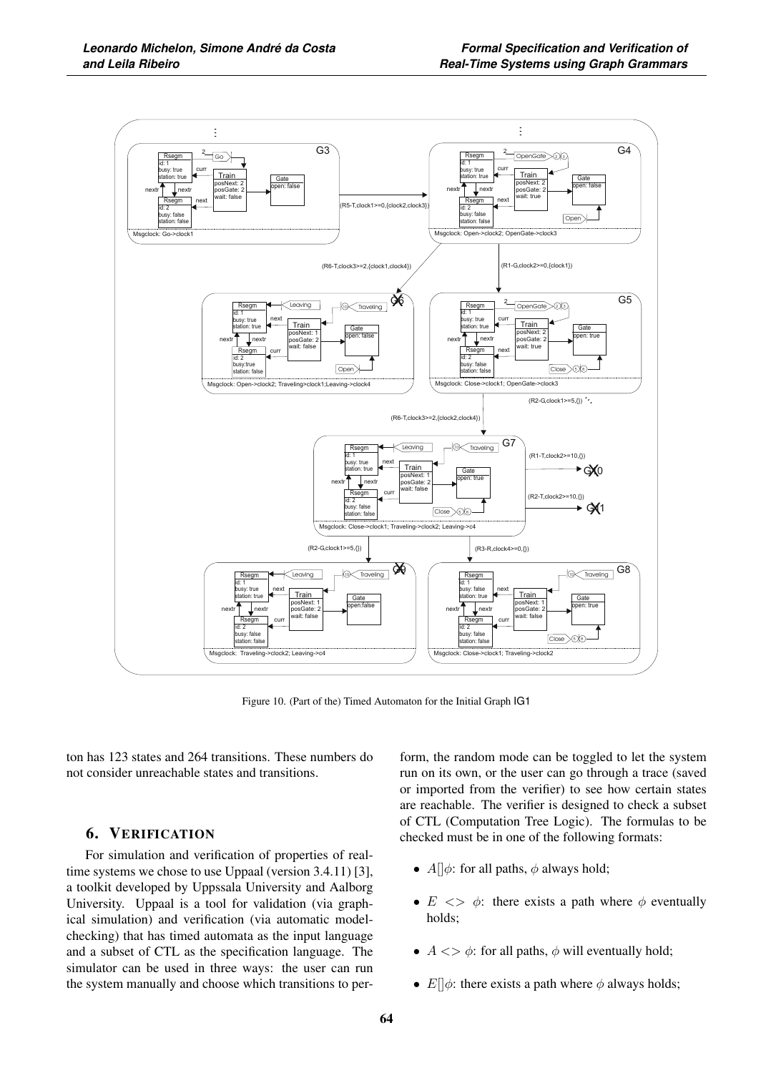

Figure 10. (Part of the) Timed Automaton for the Initial Graph IG1

ton has 123 states and 264 transitions. These numbers do not consider unreachable states and transitions.

#### 6. VERIFICATION

For simulation and verification of properties of realtime systems we chose to use Uppaal (version 3.4.11) [3], a toolkit developed by Uppssala University and Aalborg University. Uppaal is a tool for validation (via graphical simulation) and verification (via automatic modelchecking) that has timed automata as the input language and a subset of CTL as the specification language. The simulator can be used in three ways: the user can run the system manually and choose which transitions to per-

form, the random mode can be toggled to let the system run on its own, or the user can go through a trace (saved or imported from the verifier) to see how certain states are reachable. The verifier is designed to check a subset of CTL (Computation Tree Logic). The formulas to be checked must be in one of the following formats:

- $A||\phi$ : for all paths,  $\phi$  always hold;
- $E \leq \phi$ : there exists a path where  $\phi$  eventually holds;
- $A \ll \phi$ : for all paths,  $\phi$  will eventually hold;
- $E[\phi]$ : there exists a path where  $\phi$  always holds;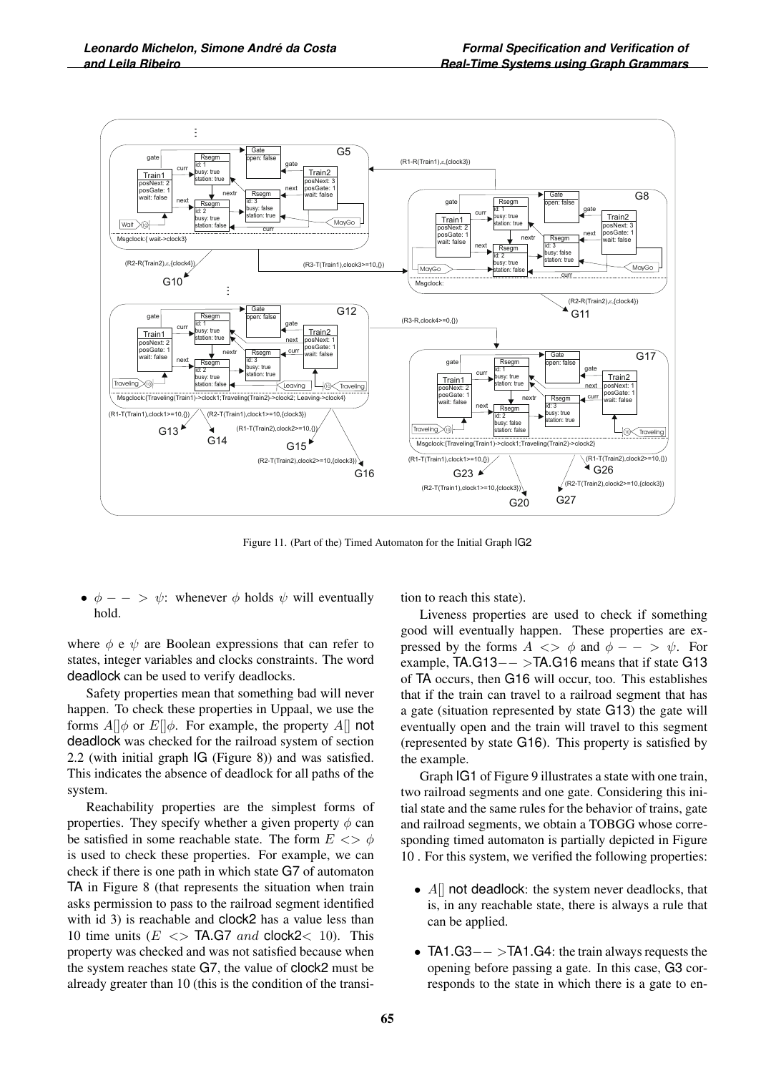

Figure 11. (Part of the) Timed Automaton for the Initial Graph IG2

•  $\phi$  – – >  $\psi$ : whenever  $\phi$  holds  $\psi$  will eventually hold.

where  $\phi$  e  $\psi$  are Boolean expressions that can refer to states, integer variables and clocks constraints. The word deadlock can be used to verify deadlocks.

Safety properties mean that something bad will never happen. To check these properties in Uppaal, we use the forms  $A||\phi$  or  $E||\phi$ . For example, the property  $A||$  not deadlock was checked for the railroad system of section 2.2 (with initial graph IG (Figure 8)) and was satisfied. This indicates the absence of deadlock for all paths of the system.

Reachability properties are the simplest forms of properties. They specify whether a given property  $\phi$  can be satisfied in some reachable state. The form  $E \ll \phi$ is used to check these properties. For example, we can check if there is one path in which state G7 of automaton TA in Figure 8 (that represents the situation when train asks permission to pass to the railroad segment identified with id 3) is reachable and clock2 has a value less than 10 time units  $(E \leq S$  TA.G7 and clock2 $\leq$  10). This property was checked and was not satisfied because when the system reaches state G7, the value of clock2 must be already greater than 10 (this is the condition of the transition to reach this state).

Liveness properties are used to check if something good will eventually happen. These properties are expressed by the forms  $A \ll \phi$  and  $\phi - \phi > \psi$ . For example, TA.G13−− >TA.G16 means that if state G13 of TA occurs, then G16 will occur, too. This establishes that if the train can travel to a railroad segment that has a gate (situation represented by state G13) the gate will eventually open and the train will travel to this segment (represented by state G16). This property is satisfied by the example.

Graph IG1 of Figure 9 illustrates a state with one train, two railroad segments and one gate. Considering this initial state and the same rules for the behavior of trains, gate and railroad segments, we obtain a TOBGG whose corresponding timed automaton is partially depicted in Figure 10 . For this system, we verified the following properties:

- $A$ [] not deadlock: the system never deadlocks, that is, in any reachable state, there is always a rule that can be applied.
- TA1.G3−− >TA1.G4: the train always requests the opening before passing a gate. In this case, G3 corresponds to the state in which there is a gate to en-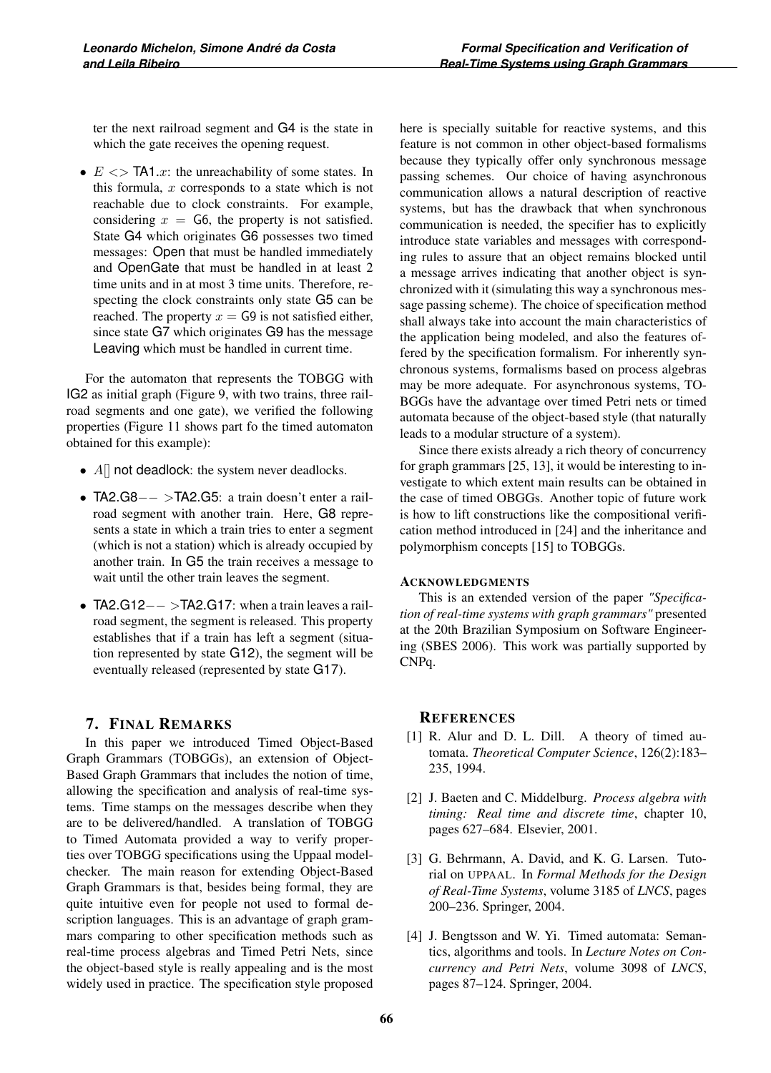ter the next railroad segment and G4 is the state in which the gate receives the opening request.

•  $E \ll$  TA1.x: the unreachability of some states. In this formula,  $x$  corresponds to a state which is not reachable due to clock constraints. For example, considering  $x = G6$ , the property is not satisfied. State G4 which originates G6 possesses two timed messages: Open that must be handled immediately and OpenGate that must be handled in at least 2 time units and in at most 3 time units. Therefore, respecting the clock constraints only state G5 can be reached. The property  $x = \textsf{G9}$  is not satisfied either, since state G7 which originates G9 has the message Leaving which must be handled in current time.

For the automaton that represents the TOBGG with IG2 as initial graph (Figure 9, with two trains, three railroad segments and one gate), we verified the following properties (Figure 11 shows part fo the timed automaton obtained for this example):

- $A$ [] not deadlock: the system never deadlocks.
- TA2.G8−− >TA2.G5: a train doesn't enter a railroad segment with another train. Here, G8 represents a state in which a train tries to enter a segment (which is not a station) which is already occupied by another train. In G5 the train receives a message to wait until the other train leaves the segment.
- TA2.G12−− >TA2.G17: when a train leaves a railroad segment, the segment is released. This property establishes that if a train has left a segment (situation represented by state G12), the segment will be eventually released (represented by state G17).

# 7. FINAL REMARKS

In this paper we introduced Timed Object-Based Graph Grammars (TOBGGs), an extension of Object-Based Graph Grammars that includes the notion of time, allowing the specification and analysis of real-time systems. Time stamps on the messages describe when they are to be delivered/handled. A translation of TOBGG to Timed Automata provided a way to verify properties over TOBGG specifications using the Uppaal modelchecker. The main reason for extending Object-Based Graph Grammars is that, besides being formal, they are quite intuitive even for people not used to formal description languages. This is an advantage of graph grammars comparing to other specification methods such as real-time process algebras and Timed Petri Nets, since the object-based style is really appealing and is the most widely used in practice. The specification style proposed

here is specially suitable for reactive systems, and this feature is not common in other object-based formalisms because they typically offer only synchronous message passing schemes. Our choice of having asynchronous communication allows a natural description of reactive systems, but has the drawback that when synchronous communication is needed, the specifier has to explicitly introduce state variables and messages with corresponding rules to assure that an object remains blocked until a message arrives indicating that another object is synchronized with it (simulating this way a synchronous message passing scheme). The choice of specification method shall always take into account the main characteristics of the application being modeled, and also the features offered by the specification formalism. For inherently synchronous systems, formalisms based on process algebras may be more adequate. For asynchronous systems, TO-BGGs have the advantage over timed Petri nets or timed automata because of the object-based style (that naturally leads to a modular structure of a system).

Since there exists already a rich theory of concurrency for graph grammars [25, 13], it would be interesting to investigate to which extent main results can be obtained in the case of timed OBGGs. Another topic of future work is how to lift constructions like the compositional verification method introduced in [24] and the inheritance and polymorphism concepts [15] to TOBGGs.

## ACKNOWLEDGMENTS

This is an extended version of the paper *"Specification of real-time systems with graph grammars"* presented at the 20th Brazilian Symposium on Software Engineering (SBES 2006). This work was partially supported by CNPq.

## **REFERENCES**

- [1] R. Alur and D. L. Dill. A theory of timed automata. *Theoretical Computer Science*, 126(2):183– 235, 1994.
- [2] J. Baeten and C. Middelburg. *Process algebra with timing: Real time and discrete time*, chapter 10, pages 627–684. Elsevier, 2001.
- [3] G. Behrmann, A. David, and K. G. Larsen. Tutorial on UPPAAL. In *Formal Methods for the Design of Real-Time Systems*, volume 3185 of *LNCS*, pages 200–236. Springer, 2004.
- [4] J. Bengtsson and W. Yi. Timed automata: Semantics, algorithms and tools. In *Lecture Notes on Concurrency and Petri Nets*, volume 3098 of *LNCS*, pages 87–124. Springer, 2004.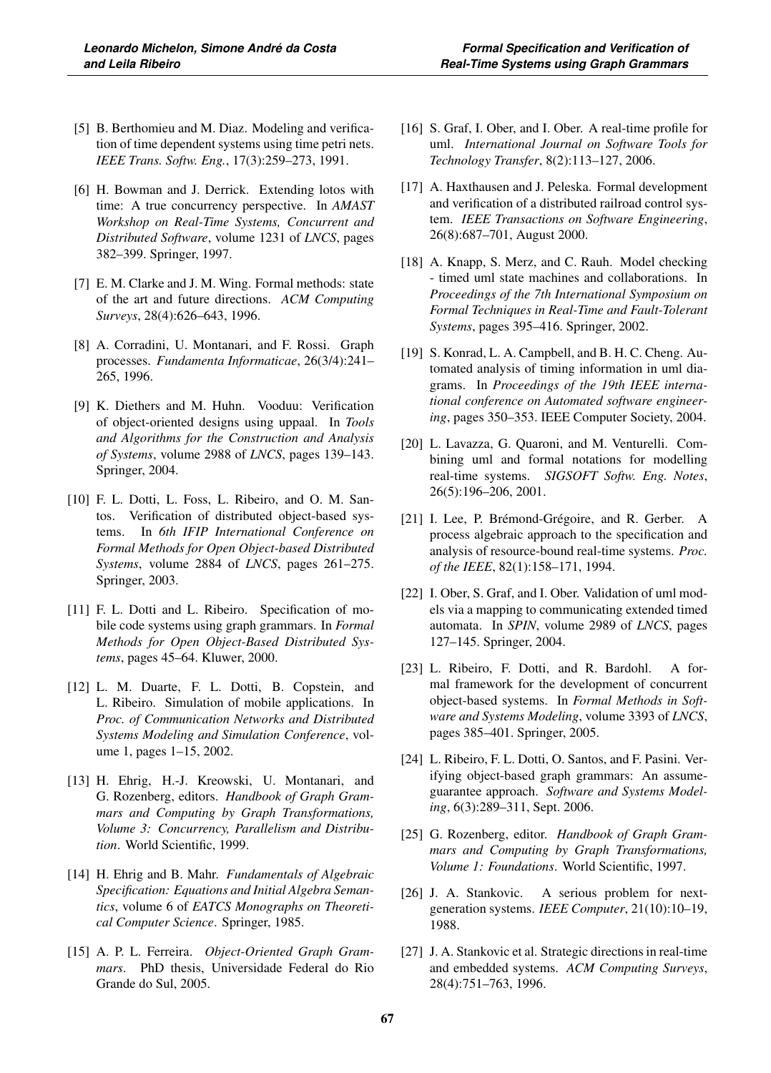- [5] B. Berthomieu and M. Diaz. Modeling and verification of time dependent systems using time petri nets. *IEEE Trans. Softw. Eng.*, 17(3):259–273, 1991.
- [6] H. Bowman and J. Derrick. Extending lotos with time: A true concurrency perspective. In *AMAST Workshop on Real-Time Systems, Concurrent and Distributed Software*, volume 1231 of *LNCS*, pages 382–399. Springer, 1997.
- [7] E. M. Clarke and J. M. Wing. Formal methods: state of the art and future directions. *ACM Computing Surveys*, 28(4):626–643, 1996.
- [8] A. Corradini, U. Montanari, and F. Rossi. Graph processes. *Fundamenta Informaticae*, 26(3/4):241– 265, 1996.
- [9] K. Diethers and M. Huhn. Vooduu: Verification of object-oriented designs using uppaal. In *Tools and Algorithms for the Construction and Analysis of Systems*, volume 2988 of *LNCS*, pages 139–143. Springer, 2004.
- [10] F. L. Dotti, L. Foss, L. Ribeiro, and O. M. Santos. Verification of distributed object-based systems. In *6th IFIP International Conference on Formal Methods for Open Object-based Distributed Systems*, volume 2884 of *LNCS*, pages 261–275. Springer, 2003.
- [11] F. L. Dotti and L. Ribeiro. Specification of mobile code systems using graph grammars. In *Formal Methods for Open Object-Based Distributed Systems*, pages 45–64. Kluwer, 2000.
- [12] L. M. Duarte, F. L. Dotti, B. Copstein, and L. Ribeiro. Simulation of mobile applications. In *Proc. of Communication Networks and Distributed Systems Modeling and Simulation Conference*, volume 1, pages 1–15, 2002.
- [13] H. Ehrig, H.-J. Kreowski, U. Montanari, and G. Rozenberg, editors. *Handbook of Graph Grammars and Computing by Graph Transformations, Volume 3: Concurrency, Parallelism and Distribution*. World Scientific, 1999.
- [14] H. Ehrig and B. Mahr. *Fundamentals of Algebraic Specification: Equations and Initial Algebra Semantics*, volume 6 of *EATCS Monographs on Theoretical Computer Science*. Springer, 1985.
- [15] A. P. L. Ferreira. *Object-Oriented Graph Grammars*. PhD thesis, Universidade Federal do Rio Grande do Sul, 2005.
- [16] S. Graf, I. Ober, and I. Ober. A real-time profile for uml. *International Journal on Software Tools for Technology Transfer*, 8(2):113–127, 2006.
- [17] A. Haxthausen and J. Peleska. Formal development and verification of a distributed railroad control system. *IEEE Transactions on Software Engineering*, 26(8):687–701, August 2000.
- [18] A. Knapp, S. Merz, and C. Rauh. Model checking - timed uml state machines and collaborations. In *Proceedings of the 7th International Symposium on Formal Techniques in Real-Time and Fault-Tolerant Systems*, pages 395–416. Springer, 2002.
- [19] S. Konrad, L. A. Campbell, and B. H. C. Cheng. Automated analysis of timing information in uml diagrams. In *Proceedings of the 19th IEEE international conference on Automated software engineering*, pages 350–353. IEEE Computer Society, 2004.
- [20] L. Lavazza, G. Quaroni, and M. Venturelli. Combining uml and formal notations for modelling real-time systems. *SIGSOFT Softw. Eng. Notes*, 26(5):196–206, 2001.
- [21] I. Lee, P. Brémond-Grégoire, and R. Gerber. A process algebraic approach to the specification and analysis of resource-bound real-time systems. *Proc. of the IEEE*, 82(1):158–171, 1994.
- [22] I. Ober, S. Graf, and I. Ober. Validation of uml models via a mapping to communicating extended timed automata. In *SPIN*, volume 2989 of *LNCS*, pages 127–145. Springer, 2004.
- [23] L. Ribeiro, F. Dotti, and R. Bardohl. A formal framework for the development of concurrent object-based systems. In *Formal Methods in Software and Systems Modeling*, volume 3393 of *LNCS*, pages 385–401. Springer, 2005.
- [24] L. Ribeiro, F. L. Dotti, O. Santos, and F. Pasini. Verifying object-based graph grammars: An assumeguarantee approach. *Software and Systems Modeling*, 6(3):289–311, Sept. 2006.
- [25] G. Rozenberg, editor. *Handbook of Graph Grammars and Computing by Graph Transformations, Volume 1: Foundations*. World Scientific, 1997.
- [26] J. A. Stankovic. A serious problem for nextgeneration systems. *IEEE Computer*, 21(10):10–19, 1988.
- [27] J. A. Stankovic et al. Strategic directions in real-time and embedded systems. *ACM Computing Surveys*, 28(4):751–763, 1996.